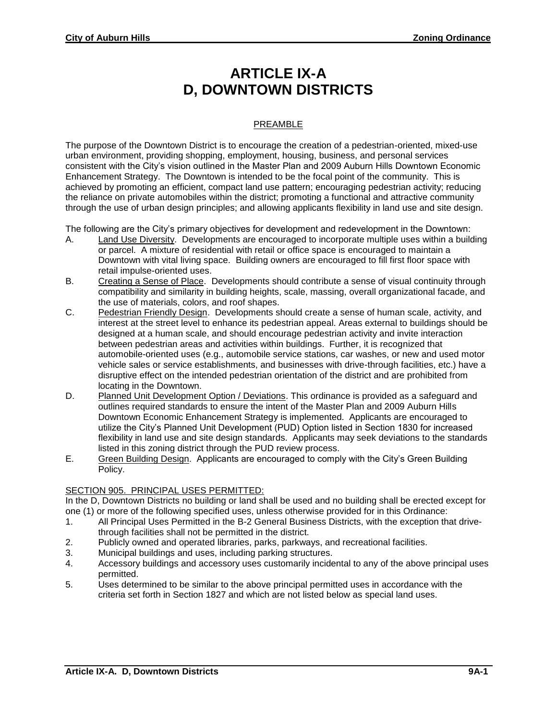# **ARTICLE IX-A D, DOWNTOWN DISTRICTS**

## PREAMBLE

The purpose of the Downtown District is to encourage the creation of a pedestrian-oriented, mixed-use urban environment, providing shopping, employment, housing, business, and personal services consistent with the City's vision outlined in the Master Plan and 2009 Auburn Hills Downtown Economic Enhancement Strategy. The Downtown is intended to be the focal point of the community. This is achieved by promoting an efficient, compact land use pattern; encouraging pedestrian activity; reducing the reliance on private automobiles within the district; promoting a functional and attractive community through the use of urban design principles; and allowing applicants flexibility in land use and site design.

The following are the City's primary objectives for development and redevelopment in the Downtown:

- A. Land Use Diversity. Developments are encouraged to incorporate multiple uses within a building or parcel. A mixture of residential with retail or office space is encouraged to maintain a Downtown with vital living space. Building owners are encouraged to fill first floor space with retail impulse-oriented uses.
- B. Creating a Sense of Place. Developments should contribute a sense of visual continuity through compatibility and similarity in building heights, scale, massing, overall organizational facade, and the use of materials, colors, and roof shapes.
- C. Pedestrian Friendly Design. Developments should create a sense of human scale, activity, and interest at the street level to enhance its pedestrian appeal. Areas external to buildings should be designed at a human scale, and should encourage pedestrian activity and invite interaction between pedestrian areas and activities within buildings. Further, it is recognized that automobile-oriented uses (e.g., automobile service stations, car washes, or new and used motor vehicle sales or service establishments, and businesses with drive-through facilities, etc.) have a disruptive effect on the intended pedestrian orientation of the district and are prohibited from locating in the Downtown.
- D. Planned Unit Development Option / Deviations. This ordinance is provided as a safeguard and outlines required standards to ensure the intent of the Master Plan and 2009 Auburn Hills Downtown Economic Enhancement Strategy is implemented. Applicants are encouraged to utilize the City's Planned Unit Development (PUD) Option listed in Section 1830 for increased flexibility in land use and site design standards. Applicants may seek deviations to the standards listed in this zoning district through the PUD review process.
- E. Green Building Design. Applicants are encouraged to comply with the City's Green Building Policy.

#### SECTION 905. PRINCIPAL USES PERMITTED:

In the D, Downtown Districts no building or land shall be used and no building shall be erected except for one (1) or more of the following specified uses, unless otherwise provided for in this Ordinance:

- 1. All Principal Uses Permitted in the B-2 General Business Districts, with the exception that drivethrough facilities shall not be permitted in the district.
- 2. Publicly owned and operated libraries, parks, parkways, and recreational facilities.
- 3. Municipal buildings and uses, including parking structures.
- 4. Accessory buildings and accessory uses customarily incidental to any of the above principal uses permitted.
- 5. Uses determined to be similar to the above principal permitted uses in accordance with the criteria set forth in Section 1827 and which are not listed below as special land uses.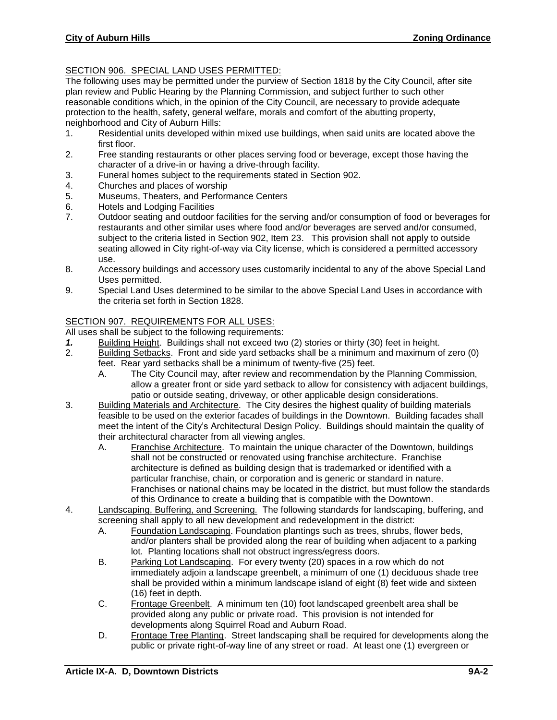## SECTION 906. SPECIAL LAND USES PERMITTED:

The following uses may be permitted under the purview of Section 1818 by the City Council, after site plan review and Public Hearing by the Planning Commission, and subject further to such other reasonable conditions which, in the opinion of the City Council, are necessary to provide adequate protection to the health, safety, general welfare, morals and comfort of the abutting property, neighborhood and City of Auburn Hills:

- 1. Residential units developed within mixed use buildings, when said units are located above the first floor.
- 2. Free standing restaurants or other places serving food or beverage, except those having the character of a drive-in or having a drive-through facility.
- 3. Funeral homes subject to the requirements stated in Section 902.
- 4. Churches and places of worship<br>5. Museums, Theaters, and Perforr
- Museums, Theaters, and Performance Centers
- 6. Hotels and Lodging Facilities
- 7. Outdoor seating and outdoor facilities for the serving and/or consumption of food or beverages for restaurants and other similar uses where food and/or beverages are served and/or consumed, subject to the criteria listed in Section 902, Item 23. This provision shall not apply to outside seating allowed in City right-of-way via City license, which is considered a permitted accessory use.
- 8. Accessory buildings and accessory uses customarily incidental to any of the above Special Land Uses permitted.
- 9. Special Land Uses determined to be similar to the above Special Land Uses in accordance with the criteria set forth in Section 1828.

### SECTION 907. REQUIREMENTS FOR ALL USES:

All uses shall be subject to the following requirements:

- *1.* Building Height. Buildings shall not exceed two (2) stories or thirty (30) feet in height.
- 2. Building Setbacks. Front and side yard setbacks shall be a minimum and maximum of zero (0) feet. Rear yard setbacks shall be a minimum of twenty-five (25) feet.
	- A. The City Council may, after review and recommendation by the Planning Commission, allow a greater front or side yard setback to allow for consistency with adjacent buildings, patio or outside seating, driveway, or other applicable design considerations.
- 3. Building Materials and Architecture. The City desires the highest quality of building materials feasible to be used on the exterior facades of buildings in the Downtown. Building facades shall meet the intent of the City's Architectural Design Policy. Buildings should maintain the quality of their architectural character from all viewing angles.
	- A. Franchise Architecture. To maintain the unique character of the Downtown, buildings shall not be constructed or renovated using franchise architecture. Franchise architecture is defined as building design that is trademarked or identified with a particular franchise, chain, or corporation and is generic or standard in nature. Franchises or national chains may be located in the district, but must follow the standards of this Ordinance to create a building that is compatible with the Downtown.
- 4. Landscaping, Buffering, and Screening. The following standards for landscaping, buffering, and screening shall apply to all new development and redevelopment in the district:
	- A. Foundation Landscaping. Foundation plantings such as trees, shrubs, flower beds, and/or planters shall be provided along the rear of building when adjacent to a parking lot. Planting locations shall not obstruct ingress/egress doors.
	- B. Parking Lot Landscaping. For every twenty (20) spaces in a row which do not immediately adjoin a landscape greenbelt, a minimum of one (1) deciduous shade tree shall be provided within a minimum landscape island of eight (8) feet wide and sixteen (16) feet in depth.
	- C. Frontage Greenbelt. A minimum ten (10) foot landscaped greenbelt area shall be provided along any public or private road. This provision is not intended for developments along Squirrel Road and Auburn Road.
	- D. Frontage Tree Planting. Street landscaping shall be required for developments along the public or private right-of-way line of any street or road. At least one (1) evergreen or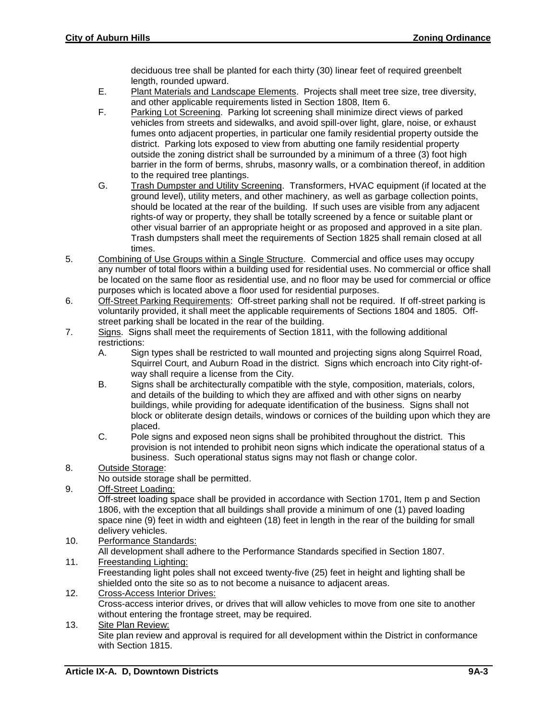deciduous tree shall be planted for each thirty (30) linear feet of required greenbelt length, rounded upward.

- E. Plant Materials and Landscape Elements. Projects shall meet tree size, tree diversity, and other applicable requirements listed in Section 1808, Item 6.
- F. Parking Lot Screening. Parking lot screening shall minimize direct views of parked vehicles from streets and sidewalks, and avoid spill-over light, glare, noise, or exhaust fumes onto adjacent properties, in particular one family residential property outside the district. Parking lots exposed to view from abutting one family residential property outside the zoning district shall be surrounded by a minimum of a three (3) foot high barrier in the form of berms, shrubs, masonry walls, or a combination thereof, in addition to the required tree plantings.
- G. Trash Dumpster and Utility Screening. Transformers, HVAC equipment (if located at the ground level), utility meters, and other machinery, as well as garbage collection points, should be located at the rear of the building. If such uses are visible from any adjacent rights-of way or property, they shall be totally screened by a fence or suitable plant or other visual barrier of an appropriate height or as proposed and approved in a site plan. Trash dumpsters shall meet the requirements of Section 1825 shall remain closed at all times.
- 5. Combining of Use Groups within a Single Structure. Commercial and office uses may occupy any number of total floors within a building used for residential uses. No commercial or office shall be located on the same floor as residential use, and no floor may be used for commercial or office purposes which is located above a floor used for residential purposes.
- 6. Off-Street Parking Requirements: Off-street parking shall not be required. If off-street parking is voluntarily provided, it shall meet the applicable requirements of Sections 1804 and 1805. Offstreet parking shall be located in the rear of the building.
- 7. Signs. Signs shall meet the requirements of Section 1811, with the following additional restrictions:
	- A. Sign types shall be restricted to wall mounted and projecting signs along Squirrel Road, Squirrel Court, and Auburn Road in the district. Signs which encroach into City right-ofway shall require a license from the City.
	- B. Signs shall be architecturally compatible with the style, composition, materials, colors, and details of the building to which they are affixed and with other signs on nearby buildings, while providing for adequate identification of the business. Signs shall not block or obliterate design details, windows or cornices of the building upon which they are placed.
	- C. Pole signs and exposed neon signs shall be prohibited throughout the district. This provision is not intended to prohibit neon signs which indicate the operational status of a business. Such operational status signs may not flash or change color.
- 8. Outside Storage:
	- No outside storage shall be permitted.
- 9. Off-Street Loading:

Off-street loading space shall be provided in accordance with Section 1701, Item p and Section 1806, with the exception that all buildings shall provide a minimum of one (1) paved loading space nine (9) feet in width and eighteen (18) feet in length in the rear of the building for small delivery vehicles.

- 10. Performance Standards:
	- All development shall adhere to the Performance Standards specified in Section 1807.
- 11. Freestanding Lighting:

Freestanding light poles shall not exceed twenty-five (25) feet in height and lighting shall be shielded onto the site so as to not become a nuisance to adjacent areas.

- 12. Cross-Access Interior Drives: Cross-access interior drives, or drives that will allow vehicles to move from one site to another without entering the frontage street, may be required.
- 13. Site Plan Review: Site plan review and approval is required for all development within the District in conformance with Section 1815.